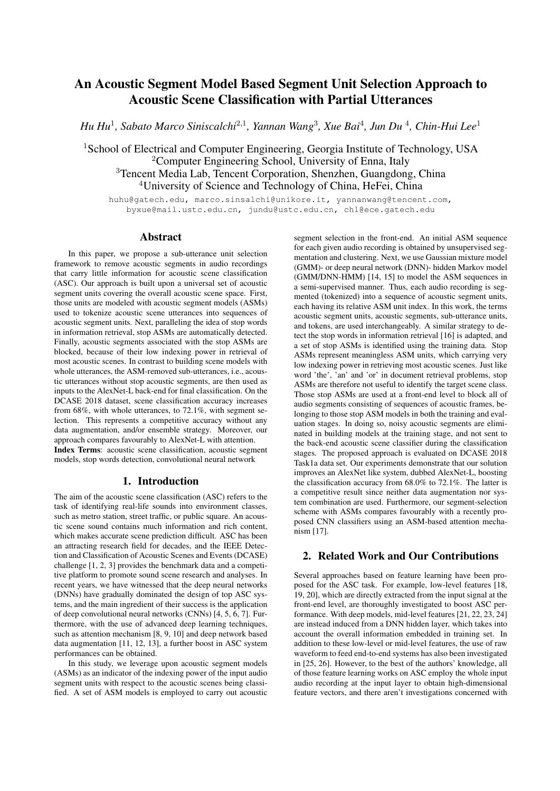# An Acoustic Segment Model Based Segment Unit Selection Approach to Acoustic Scene Classification with Partial Utterances

*Hu Hu*<sup>1</sup> *, Sabato Marco Siniscalchi*<sup>2</sup>,<sup>1</sup> *, Yannan Wang*<sup>3</sup> *, Xue Bai*<sup>4</sup> *, Jun Du* <sup>4</sup> *, Chin-Hui Lee*<sup>1</sup>

<sup>1</sup>School of Electrical and Computer Engineering, Georgia Institute of Technology, USA <sup>2</sup>Computer Engineering School, University of Enna, Italy <sup>3</sup>Tencent Media Lab, Tencent Corporation, Shenzhen, Guangdong, China <sup>4</sup>University of Science and Technology of China, HeFei, China

huhu@gatech.edu, marco.sinsalchi@unikore.it, yannanwang@tencent.com, byxue@mail.ustc.edu.cn, jundu@ustc.edu.cn, chl@ece.gatech.edu

## Abstract

In this paper, we propose a sub-utterance unit selection framework to remove acoustic segments in audio recordings that carry little information for acoustic scene classification (ASC). Our approach is built upon a universal set of acoustic segment units covering the overall acoustic scene space. First, those units are modeled with acoustic segment models (ASMs) used to tokenize acoustic scene utterances into sequences of acoustic segment units. Next, paralleling the idea of stop words in information retrieval, stop ASMs are automatically detected. Finally, acoustic segments associated with the stop ASMs are blocked, because of their low indexing power in retrieval of most acoustic scenes. In contrast to building scene models with whole utterances, the ASM-removed sub-utterances, i.e., acoustic utterances without stop acoustic segments, are then used as inputs to the AlexNet-L back-end for final classification. On the DCASE 2018 dataset, scene classification accuracy increases from 68%, with whole utterances, to 72.1%, with segment selection. This represents a competitive accuracy without any data augmentation, and/or ensemble strategy. Moreover, our approach compares favourably to AlexNet-L with attention. Index Terms: acoustic scene classification, acoustic segment models, stop words detection, convolutional neural network

# 1. Introduction

The aim of the acoustic scene classification (ASC) refers to the task of identifying real-life sounds into environment classes, such as metro station, street traffic, or public square. An acoustic scene sound contains much information and rich content, which makes accurate scene prediction difficult. ASC has been an attracting research field for decades, and the IEEE Detection and Classification of Acoustic Scenes and Events (DCASE) challenge [1, 2, 3] provides the benchmark data and a competitive platform to promote sound scene research and analyses. In recent years, we have witnessed that the deep neural networks (DNNs) have gradually dominated the design of top ASC systems, and the main ingredient of their success is the application of deep convolutional neural networks (CNNs) [4, 5, 6, 7]. Furthermore, with the use of advanced deep learning techniques, such as attention mechanism [8, 9, 10] and deep network based data augmentation [11, 12, 13], a further boost in ASC system performances can be obtained.

In this study, we leverage upon acoustic segment models (ASMs) as an indicator of the indexing power of the input audio segment units with respect to the acoustic scenes being classified. A set of ASM models is employed to carry out acoustic

segment selection in the front-end. An initial ASM sequence for each given audio recording is obtained by unsupervised segmentation and clustering. Next, we use Gaussian mixture model (GMM)- or deep neural network (DNN)- hidden Markov model (GMM/DNN-HMM) [14, 15] to model the ASM sequences in a semi-supervised manner. Thus, each audio recording is segmented (tokenized) into a sequence of acoustic segment units, each having its relative ASM unit index. In this work, the terms acoustic segment units, acoustic segments, sub-utterance units, and tokens, are used interchangeably. A similar strategy to detect the stop words in information retrieval [16] is adapted, and a set of stop ASMs is identified using the training data. Stop ASMs represent meaningless ASM units, which carrying very low indexing power in retrieving most acoustic scenes. Just like word 'the', 'an' and 'or' in document retrieval problems, stop ASMs are therefore not useful to identify the target scene class. Those stop ASMs are used at a front-end level to block all of audio segments consisting of sequences of acoustic frames, belonging to those stop ASM models in both the training and evaluation stages. In doing so, noisy acoustic segments are eliminated in building models at the training stage, and not sent to the back-end acoustic scene classifier during the classification stages. The proposed approach is evaluated on DCASE 2018 Task1a data set. Our experiments demonstrate that our solution improves an AlexNet like system, dubbed AlexNet-L, boosting the classification accuracy from 68.0% to 72.1%. The latter is a competitive result since neither data augmentation nor system combination are used. Furthermore, our segment-selection scheme with ASMs compares favourably with a recently proposed CNN classifiers using an ASM-based attention mechanism [17].

# 2. Related Work and Our Contributions

Several approaches based on feature learning have been proposed for the ASC task. For example, low-level features [18, 19, 20], which are directly extracted from the input signal at the front-end level, are thoroughly investigated to boost ASC performance. With deep models, mid-level features [21, 22, 23, 24] are instead induced from a DNN hidden layer, which takes into account the overall information embedded in training set. In addition to these low-level or mid-level features, the use of raw waveform to feed end-to-end systems has also been investigated in [25, 26]. However, to the best of the authors' knowledge, all of those feature learning works on ASC employ the whole input audio recording at the input layer to obtain high-dimensional feature vectors, and there aren't investigations concerned with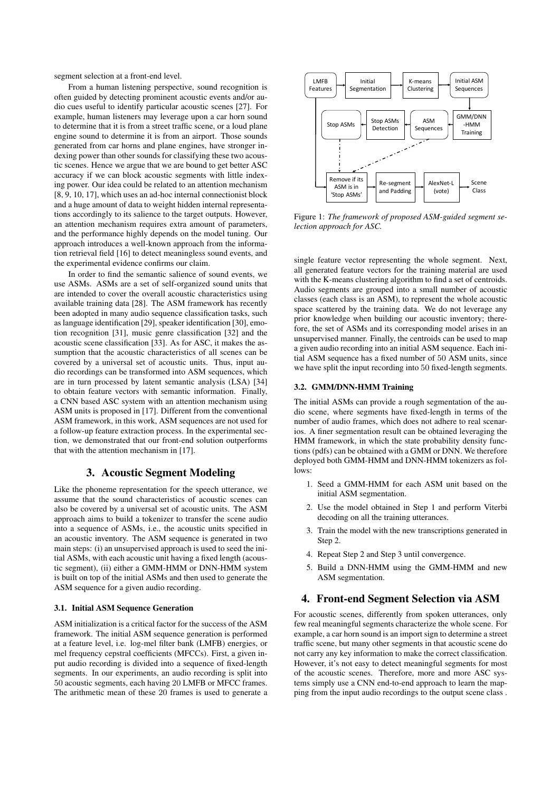segment selection at a front-end level.

From a human listening perspective, sound recognition is often guided by detecting prominent acoustic events and/or audio cues useful to identify particular acoustic scenes [27]. For example, human listeners may leverage upon a car horn sound to determine that it is from a street traffic scene, or a loud plane engine sound to determine it is from an airport. Those sounds generated from car horns and plane engines, have stronger indexing power than other sounds for classifying these two acoustic scenes. Hence we argue that we are bound to get better ASC accuracy if we can block acoustic segments with little indexing power. Our idea could be related to an attention mechanism [8, 9, 10, 17], which uses an ad-hoc internal connectionist block and a huge amount of data to weight hidden internal representations accordingly to its salience to the target outputs. However, an attention mechanism requires extra amount of parameters, and the performance highly depends on the model tuning. Our approach introduces a well-known approach from the information retrieval field [16] to detect meaningless sound events, and the experimental evidence confirms our claim.

In order to find the semantic salience of sound events, we use ASMs. ASMs are a set of self-organized sound units that are intended to cover the overall acoustic characteristics using available training data [28]. The ASM framework has recently been adopted in many audio sequence classification tasks, such as language identification [29], speaker identification [30], emotion recognition [31], music genre classification [32] and the acoustic scene classification [33]. As for ASC, it makes the assumption that the acoustic characteristics of all scenes can be covered by a universal set of acoustic units. Thus, input audio recordings can be transformed into ASM sequences, which are in turn processed by latent semantic analysis (LSA) [34] to obtain feature vectors with semantic information. Finally, a CNN based ASC system with an attention mechanism using ASM units is proposed in [17]. Different from the conventional ASM framework, in this work, ASM sequences are not used for a follow-up feature extraction process. In the experimental section, we demonstrated that our front-end solution outperforms that with the attention mechanism in [17].

## 3. Acoustic Segment Modeling

Like the phoneme representation for the speech utterance, we assume that the sound characteristics of acoustic scenes can also be covered by a universal set of acoustic units. The ASM approach aims to build a tokenizer to transfer the scene audio into a sequence of ASMs, i.e., the acoustic units specified in an acoustic inventory. The ASM sequence is generated in two main steps: (i) an unsupervised approach is used to seed the initial ASMs, with each acoustic unit having a fixed length (acoustic segment), (ii) either a GMM-HMM or DNN-HMM system is built on top of the initial ASMs and then used to generate the ASM sequence for a given audio recording.

#### 3.1. Initial ASM Sequence Generation

ASM initialization is a critical factor for the success of the ASM framework. The initial ASM sequence generation is performed at a feature level, i.e. log-mel filter bank (LMFB) energies, or mel frequency cepstral coefficients (MFCCs). First, a given input audio recording is divided into a sequence of fixed-length segments. In our experiments, an audio recording is split into 50 acoustic segments, each having 20 LMFB or MFCC frames. The arithmetic mean of these 20 frames is used to generate a



Figure 1: *The framework of proposed ASM-guided segment selection approach for ASC.*

single feature vector representing the whole segment. Next, all generated feature vectors for the training material are used with the K-means clustering algorithm to find a set of centroids. Audio segments are grouped into a small number of acoustic classes (each class is an ASM), to represent the whole acoustic space scattered by the training data. We do not leverage any prior knowledge when building our acoustic inventory; therefore, the set of ASMs and its corresponding model arises in an unsupervised manner. Finally, the centroids can be used to map a given audio recording into an initial ASM sequence. Each initial ASM sequence has a fixed number of 50 ASM units, since we have split the input recording into 50 fixed-length segments.

## 3.2. GMM/DNN-HMM Training

The initial ASMs can provide a rough segmentation of the audio scene, where segments have fixed-length in terms of the number of audio frames, which does not adhere to real scenarios. A finer segmentation result can be obtained leveraging the HMM framework, in which the state probability density functions (pdfs) can be obtained with a GMM or DNN. We therefore deployed both GMM-HMM and DNN-HMM tokenizers as follows:

- 1. Seed a GMM-HMM for each ASM unit based on the initial ASM segmentation.
- 2. Use the model obtained in Step 1 and perform Viterbi decoding on all the training utterances.
- 3. Train the model with the new transcriptions generated in Step 2.
- 4. Repeat Step 2 and Step 3 until convergence.
- 5. Build a DNN-HMM using the GMM-HMM and new ASM segmentation.

# 4. Front-end Segment Selection via ASM

For acoustic scenes, differently from spoken utterances, only few real meaningful segments characterize the whole scene. For example, a car horn sound is an import sign to determine a street traffic scene, but many other segments in that acoustic scene do not carry any key information to make the correct classification. However, it's not easy to detect meaningful segments for most of the acoustic scenes. Therefore, more and more ASC systems simply use a CNN end-to-end approach to learn the mapping from the input audio recordings to the output scene class .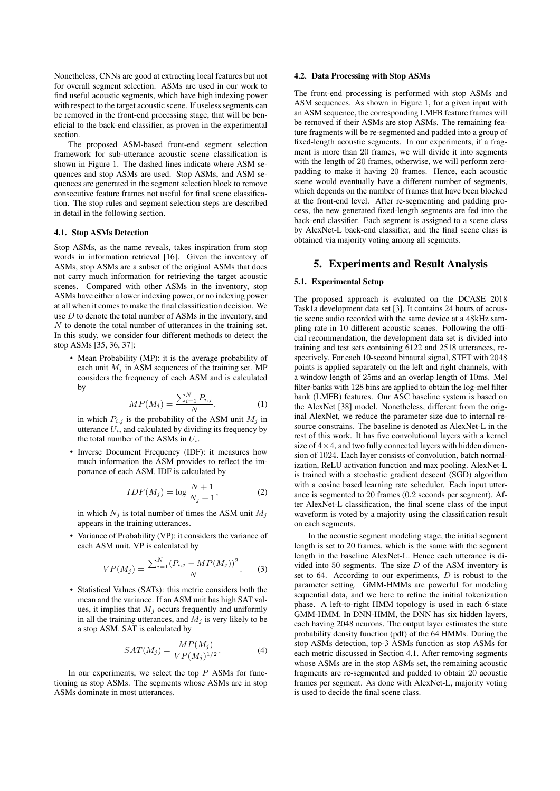Nonetheless, CNNs are good at extracting local features but not for overall segment selection. ASMs are used in our work to find useful acoustic segments, which have high indexing power with respect to the target acoustic scene. If useless segments can be removed in the front-end processing stage, that will be beneficial to the back-end classifier, as proven in the experimental section.

The proposed ASM-based front-end segment selection framework for sub-utterance acoustic scene classification is shown in Figure 1. The dashed lines indicate where ASM sequences and stop ASMs are used. Stop ASMs, and ASM sequences are generated in the segment selection block to remove consecutive feature frames not useful for final scene classification. The stop rules and segment selection steps are described in detail in the following section.

#### 4.1. Stop ASMs Detection

Stop ASMs, as the name reveals, takes inspiration from stop words in information retrieval [16]. Given the inventory of ASMs, stop ASMs are a subset of the original ASMs that does not carry much information for retrieving the target acoustic scenes. Compared with other ASMs in the inventory, stop ASMs have either a lower indexing power, or no indexing power at all when it comes to make the final classification decision. We use  $D$  to denote the total number of ASMs in the inventory, and N to denote the total number of utterances in the training set. In this study, we consider four different methods to detect the stop ASMs [35, 36, 37]:

• Mean Probability (MP): it is the average probability of each unit  $M_i$  in ASM sequences of the training set. MP considers the frequency of each ASM and is calculated by

$$
MP(M_j) = \frac{\sum_{i=1}^{N} P_{i,j}}{N},\tag{1}
$$

in which  $P_{i,j}$  is the probability of the ASM unit  $M_j$  in utterance  $U_i$ , and calculated by dividing its frequency by the total number of the ASMs in  $U_i$ .

• Inverse Document Frequency (IDF): it measures how much information the ASM provides to reflect the importance of each ASM. IDF is calculated by

$$
IDF(M_j) = \log \frac{N+1}{N_j+1},\tag{2}
$$

in which  $N_i$  is total number of times the ASM unit  $M_i$ appears in the training utterances.

• Variance of Probability (VP): it considers the variance of each ASM unit. VP is calculated by

$$
VP(M_j) = \frac{\sum_{i=1}^{N} (P_{i,j} - MP(M_j))^2}{N}.
$$
 (3)

• Statistical Values (SATs): this metric considers both the mean and the variance. If an ASM unit has high SAT values, it implies that  $M_i$  occurs frequently and uniformly in all the training utterances, and  $M_i$  is very likely to be a stop ASM. SAT is calculated by

$$
SAT(M_j) = \frac{MP(M_j)}{VP(M_j)^{1/2}}.
$$
 (4)

In our experiments, we select the top  $P$  ASMs for functioning as stop ASMs. The segments whose ASMs are in stop ASMs dominate in most utterances.

## 4.2. Data Processing with Stop ASMs

The front-end processing is performed with stop ASMs and ASM sequences. As shown in Figure 1, for a given input with an ASM sequence, the corresponding LMFB feature frames will be removed if their ASMs are stop ASMs. The remaining feature fragments will be re-segmented and padded into a group of fixed-length acoustic segments. In our experiments, if a fragment is more than 20 frames, we will divide it into segments with the length of 20 frames, otherwise, we will perform zeropadding to make it having 20 frames. Hence, each acoustic scene would eventually have a different number of segments, which depends on the number of frames that have been blocked at the front-end level. After re-segmenting and padding process, the new generated fixed-length segments are fed into the back-end classifier. Each segment is assigned to a scene class by AlexNet-L back-end classifier, and the final scene class is obtained via majority voting among all segments.

# 5. Experiments and Result Analysis

#### 5.1. Experimental Setup

The proposed approach is evaluated on the DCASE 2018 Task1a development data set [3]. It contains 24 hours of acoustic scene audio recorded with the same device at a 48kHz sampling rate in 10 different acoustic scenes. Following the official recommendation, the development data set is divided into training and test sets containing 6122 and 2518 utterances, respectively. For each 10-second binaural signal, STFT with 2048 points is applied separately on the left and right channels, with a window length of 25ms and an overlap length of 10ms. Mel filter-banks with 128 bins are applied to obtain the log-mel filter bank (LMFB) features. Our ASC baseline system is based on the AlexNet [38] model. Nonetheless, different from the original AlexNet, we reduce the parameter size due to internal resource constrains. The baseline is denoted as AlexNet-L in the rest of this work. It has five convolutional layers with a kernel size of  $4 \times 4$ , and two fully connected layers with hidden dimension of 1024. Each layer consists of convolution, batch normalization, ReLU activation function and max pooling. AlexNet-L is trained with a stochastic gradient descent (SGD) algorithm with a cosine based learning rate scheduler. Each input utterance is segmented to 20 frames (0.2 seconds per segment). After AlexNet-L classification, the final scene class of the input waveform is voted by a majority using the classification result on each segments.

In the acoustic segment modeling stage, the initial segment length is set to 20 frames, which is the same with the segment length in the baseline AlexNet-L. Hence each utterance is divided into 50 segments. The size  $D$  of the ASM inventory is set to 64. According to our experiments,  $D$  is robust to the parameter setting. GMM-HMMs are powerful for modeling sequential data, and we here to refine the initial tokenization phase. A left-to-right HMM topology is used in each 6-state GMM-HMM. In DNN-HMM, the DNN has six hidden layers, each having 2048 neurons. The output layer estimates the state probability density function (pdf) of the 64 HMMs. During the stop ASMs detection, top-3 ASMs function as stop ASMs for each metric discussed in Section 4.1. After removing segments whose ASMs are in the stop ASMs set, the remaining acoustic fragments are re-segmented and padded to obtain 20 acoustic frames per segment. As done with AlexNet-L, majority voting is used to decide the final scene class.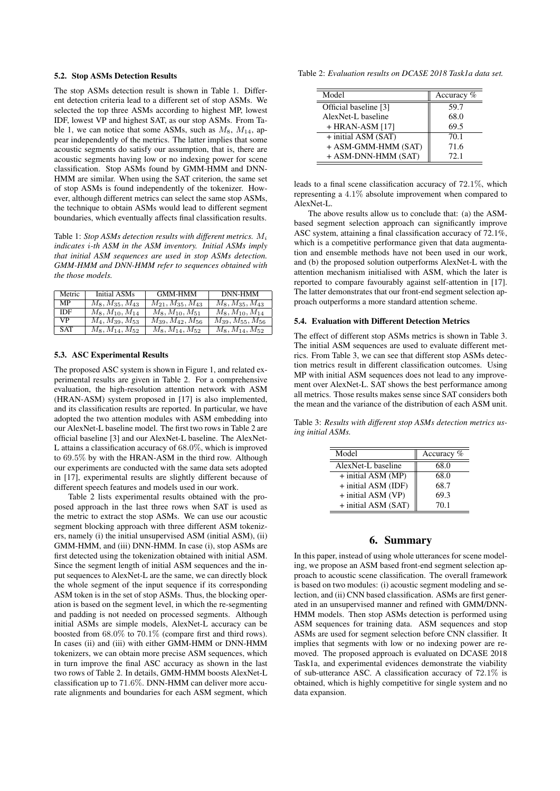### 5.2. Stop ASMs Detection Results

The stop ASMs detection result is shown in Table 1. Different detection criteria lead to a different set of stop ASMs. We selected the top three ASMs according to highest MP, lowest IDF, lowest VP and highest SAT, as our stop ASMs. From Table 1, we can notice that some ASMs, such as  $M_8$ ,  $M_{14}$ , appear independently of the metrics. The latter implies that some acoustic segments do satisfy our assumption, that is, there are acoustic segments having low or no indexing power for scene classification. Stop ASMs found by GMM-HMM and DNN-HMM are similar. When using the SAT criterion, the same set of stop ASMs is found independently of the tokenizer. However, although different metrics can select the same stop ASMs, the technique to obtain ASMs would lead to different segment boundaries, which eventually affects final classification results.

Table 1: *Stop ASMs detection results with different metrics.* M<sup>i</sup> *indicates* i*-th ASM in the ASM inventory. Initial ASMs imply that initial ASM sequences are used in stop ASMs detection. GMM-HMM and DNN-HMM refer to sequences obtained with the those models.*

| Metric     | Initial ASMs          | <b>GMM-HMM</b>           | DNN-HMM                  |
|------------|-----------------------|--------------------------|--------------------------|
| <b>MP</b>  | $M_8, M_{35}, M_{43}$ | $M_{21}, M_{35}, M_{43}$ | $M_8, M_{35}, M_{43}$    |
| IDF        | $M_8, M_{10}, M_{14}$ | $M_8, M_{10}, M_{51}$    | $M_8, M_{10}, M_{14}$    |
| <b>VP</b>  | $M_4, M_{39}, M_{53}$ | $M_{39}, M_{42}, M_{56}$ | $M_{39}, M_{55}, M_{56}$ |
| <b>SAT</b> | $M_8, M_{14}, M_{52}$ | $M_8, M_{14}, M_{52}$    | $M_8, M_{14}, M_{52}$    |

#### 5.3. ASC Experimental Results

The proposed ASC system is shown in Figure 1, and related experimental results are given in Table 2. For a comprehensive evaluation, the high-resolution attention network with ASM (HRAN-ASM) system proposed in [17] is also implemented, and its classification results are reported. In particular, we have adopted the two attention modules with ASM embedding into our AlexNet-L baseline model. The first two rows in Table 2 are official baseline [3] and our AlexNet-L baseline. The AlexNet-L attains a classification accuracy of 68.0%, which is improved to 69.5% by with the HRAN-ASM in the third row. Although our experiments are conducted with the same data sets adopted in [17], experimental results are slightly different because of different speech features and models used in our work.

Table 2 lists experimental results obtained with the proposed approach in the last three rows when SAT is used as the metric to extract the stop ASMs. We can use our acoustic segment blocking approach with three different ASM tokenizers, namely (i) the initial unsupervised ASM (initial ASM), (ii) GMM-HMM, and (iii) DNN-HMM. In case (i), stop ASMs are first detected using the tokenization obtained with initial ASM. Since the segment length of initial ASM sequences and the input sequences to AlexNet-L are the same, we can directly block the whole segment of the input sequence if its corresponding ASM token is in the set of stop ASMs. Thus, the blocking operation is based on the segment level, in which the re-segmenting and padding is not needed on processed segments. Although initial ASMs are simple models, AlexNet-L accuracy can be boosted from 68.0% to 70.1% (compare first and third rows). In cases (ii) and (iii) with either GMM-HMM or DNN-HMM tokenizers, we can obtain more precise ASM sequences, which in turn improve the final ASC accuracy as shown in the last two rows of Table 2. In details, GMM-HMM boosts AlexNet-L classification up to 71.6%. DNN-HMM can deliver more accurate alignments and boundaries for each ASM segment, which

Table 2: *Evaluation results on DCASE 2018 Task1a data set.*

| Model                 | Accuracy % |
|-----------------------|------------|
| Official baseline [3] | 59.7       |
| AlexNet-L baseline    | 68.0       |
| $+$ HRAN-ASM [17]     | 69.5       |
| + initial ASM (SAT)   | 70.1       |
| + ASM-GMM-HMM (SAT)   | 71.6       |
| + ASM-DNN-HMM (SAT)   | 72.1       |

leads to a final scene classification accuracy of 72.1%, which representing a 4.1% absolute improvement when compared to AlexNet-L.

The above results allow us to conclude that: (a) the ASMbased segment selection approach can significantly improve ASC system, attaining a final classification accuracy of 72.1%, which is a competitive performance given that data augmentation and ensemble methods have not been used in our work, and (b) the proposed solution outperforms AlexNet-L with the attention mechanism initialised with ASM, which the later is reported to compare favourably against self-attention in [17]. The latter demonstrates that our front-end segment selection approach outperforms a more standard attention scheme.

#### 5.4. Evaluation with Different Detection Metrics

The effect of different stop ASMs metrics is shown in Table 3. The initial ASM sequences are used to evaluate different metrics. From Table 3, we can see that different stop ASMs detection metrics result in different classification outcomes. Using MP with initial ASM sequences does not lead to any improvement over AlexNet-L. SAT shows the best performance among all metrics. Those results makes sense since SAT considers both the mean and the variance of the distribution of each ASM unit.

Table 3: *Results with different stop ASMs detection metrics using initial ASMs.*

| Model               | Accuracy $%$ |
|---------------------|--------------|
| AlexNet-L baseline  | 68.0         |
| + initial ASM (MP)  | 68.0         |
| + initial ASM (IDF) | 68.7         |
| + initial ASM (VP)  | 69.3         |
| + initial ASM (SAT) | 70.1         |

# 6. Summary

In this paper, instead of using whole utterances for scene modeling, we propose an ASM based front-end segment selection approach to acoustic scene classification. The overall framework is based on two modules: (i) acoustic segment modeling and selection, and (ii) CNN based classification. ASMs are first generated in an unsupervised manner and refined with GMM/DNN-HMM models. Then stop ASMs detection is performed using ASM sequences for training data. ASM sequences and stop ASMs are used for segment selection before CNN classifier. It implies that segments with low or no indexing power are removed. The proposed approach is evaluated on DCASE 2018 Task1a, and experimental evidences demonstrate the viability of sub-utterance ASC. A classification accuracy of 72.1% is obtained, which is highly competitive for single system and no data expansion.